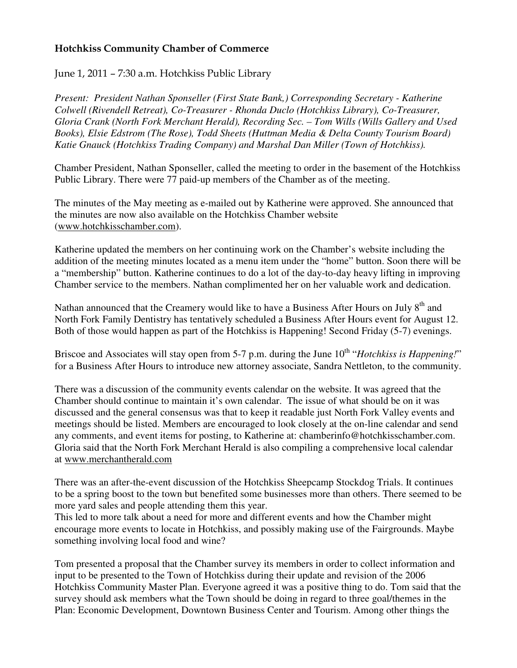## Hotchkiss Community Chamber of Commerce

## June 1, 2011 – 7:30 a.m. Hotchkiss Public Library

*Present: President Nathan Sponseller (First State Bank,) Corresponding Secretary - Katherine Colwell (Rivendell Retreat), Co-Treasurer - Rhonda Duclo (Hotchkiss Library), Co-Treasurer, Gloria Crank (North Fork Merchant Herald), Recording Sec. – Tom Wills (Wills Gallery and Used Books), Elsie Edstrom (The Rose), Todd Sheets (Huttman Media & Delta County Tourism Board) Katie Gnauck (Hotchkiss Trading Company) and Marshal Dan Miller (Town of Hotchkiss).* 

Chamber President, Nathan Sponseller, called the meeting to order in the basement of the Hotchkiss Public Library. There were 77 paid-up members of the Chamber as of the meeting.

The minutes of the May meeting as e-mailed out by Katherine were approved. She announced that the minutes are now also available on the Hotchkiss Chamber website (www.hotchkisschamber.com).

Katherine updated the members on her continuing work on the Chamber's website including the addition of the meeting minutes located as a menu item under the "home" button. Soon there will be a "membership" button. Katherine continues to do a lot of the day-to-day heavy lifting in improving Chamber service to the members. Nathan complimented her on her valuable work and dedication.

Nathan announced that the Creamery would like to have a Business After Hours on July 8<sup>th</sup> and North Fork Family Dentistry has tentatively scheduled a Business After Hours event for August 12. Both of those would happen as part of the Hotchkiss is Happening! Second Friday (5-7) evenings.

Briscoe and Associates will stay open from 5-7 p.m. during the June 10<sup>th</sup> "*Hotchkiss is Happening!*" for a Business After Hours to introduce new attorney associate, Sandra Nettleton, to the community.

There was a discussion of the community events calendar on the website. It was agreed that the Chamber should continue to maintain it's own calendar. The issue of what should be on it was discussed and the general consensus was that to keep it readable just North Fork Valley events and meetings should be listed. Members are encouraged to look closely at the on-line calendar and send any comments, and event items for posting, to Katherine at: chamberinfo@hotchkisschamber.com. Gloria said that the North Fork Merchant Herald is also compiling a comprehensive local calendar at www.merchantherald.com

There was an after-the-event discussion of the Hotchkiss Sheepcamp Stockdog Trials. It continues to be a spring boost to the town but benefited some businesses more than others. There seemed to be more yard sales and people attending them this year.

This led to more talk about a need for more and different events and how the Chamber might encourage more events to locate in Hotchkiss, and possibly making use of the Fairgrounds. Maybe something involving local food and wine?

Tom presented a proposal that the Chamber survey its members in order to collect information and input to be presented to the Town of Hotchkiss during their update and revision of the 2006 Hotchkiss Community Master Plan. Everyone agreed it was a positive thing to do. Tom said that the survey should ask members what the Town should be doing in regard to three goal/themes in the Plan: Economic Development, Downtown Business Center and Tourism. Among other things the